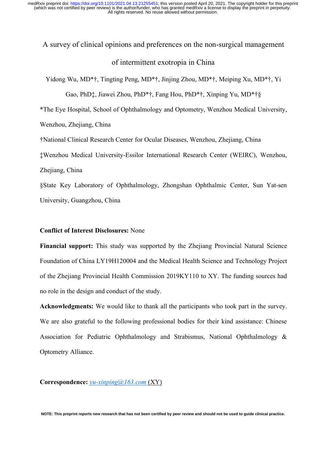# A survey of clinical opinions and preferences on the non-surgical management of intermittent exotropia in China

Yidong Wu, MD\*†, Tingting Peng, MD\*†, Jinjing Zhou, MD\*†, Meiping Xu, MD\*†, Yi

Gao, PhD‡, Jiawei Zhou, PhD\*†, Fang Hou, PhD\*†, Xinping Yu, MD\*†§

\*The Eye Hospital, School of Ophthalmology and Optometry, Wenzhou Medical University,

Wenzhou, Zhejiang, China

†National Clinical Research Center for Ocular Diseases, Wenzhou, Zhejiang, China

‡Wenzhou Medical University-Essilor International Research Center (WEIRC), Wenzhou,

Zhejiang, China

§State Key Laboratory of Ophthalmology, Zhongshan Ophthalmic Center, Sun Yat-sen University, Guangzhou, China

## **Conflict of Interest Disclosures:** None

**Financial support:** This study was supported by the Zhejiang Provincial Natural Science Foundation of China LY19H120004 and the Medical Health Science and Technology Project of the Zhejiang Provincial Health Commission 2019KY110 to XY. The funding sources had no role in the design and conduct of the study.

**Acknowledgments:** We would like to thank all the participants who took part in the survey. We are also grateful to the following professional bodies for their kind assistance: Chinese Association for Pediatric Ophthalmology and Strabismus, National Ophthalmology & Optometry Alliance.

**Correspondence:** *yu-xinping@163.com* (XY)

**NOTE: This preprint reports new research that has not been certified by peer review and should not be used to guide clinical practice.**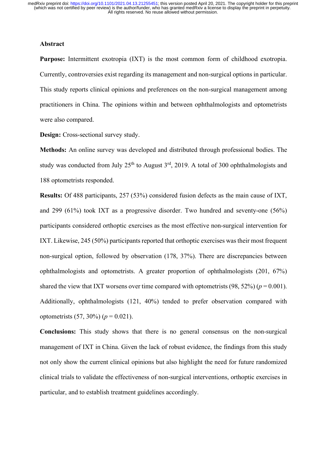# **Abstract**

**Purpose:** Intermittent exotropia (IXT) is the most common form of childhood exotropia. Currently, controversies exist regarding its management and non-surgical options in particular. This study reports clinical opinions and preferences on the non-surgical management among practitioners in China. The opinions within and between ophthalmologists and optometrists were also compared.

**Design:** Cross-sectional survey study.

**Methods:** An online survey was developed and distributed through professional bodies. The study was conducted from July  $25<sup>th</sup>$  to August  $3<sup>rd</sup>$ , 2019. A total of 300 ophthalmologists and 188 optometrists responded.

**Results:** Of 488 participants, 257 (53%) considered fusion defects as the main cause of IXT, and 299 (61%) took IXT as a progressive disorder. Two hundred and seventy-one (56%) participants considered orthoptic exercises as the most effective non-surgical intervention for IXT. Likewise, 245 (50%) participants reported that orthoptic exercises was their most frequent non-surgical option, followed by observation (178, 37%). There are discrepancies between ophthalmologists and optometrists. A greater proportion of ophthalmologists (201, 67%) shared the view that IXT worsens over time compared with optometrists  $(98, 52\%)$  ( $p = 0.001$ ). Additionally, ophthalmologists (121, 40%) tended to prefer observation compared with optometrists  $(57, 30\%) (p = 0.021)$ .

**Conclusions:** This study shows that there is no general consensus on the non-surgical management of IXT in China. Given the lack of robust evidence, the findings from this study not only show the current clinical opinions but also highlight the need for future randomized clinical trials to validate the effectiveness of non-surgical interventions, orthoptic exercises in particular, and to establish treatment guidelines accordingly.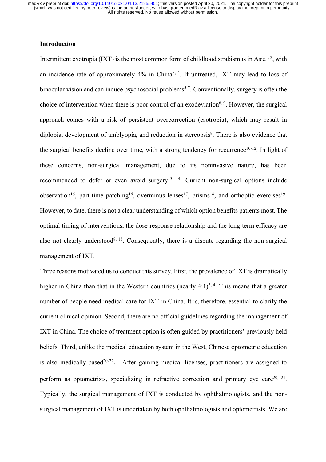# **Introduction**

Intermittent exotropia (IXT) is the most common form of childhood strabismus in Asia<sup>1, 2</sup>, with an incidence rate of approximately 4% in China3, 4. If untreated, IXT may lead to loss of binocular vision and can induce psychosocial problems<sup>5-7</sup>. Conventionally, surgery is often the choice of intervention when there is poor control of an exodeviation<sup>8, 9</sup>. However, the surgical approach comes with a risk of persistent overcorrection (esotropia), which may result in diplopia, development of amblyopia, and reduction in stereopsis<sup>8</sup>. There is also evidence that the surgical benefits decline over time, with a strong tendency for recurrence<sup>10-12</sup>. In light of these concerns, non-surgical management, due to its noninvasive nature, has been recommended to defer or even avoid surgery<sup>13, 14</sup>. Current non-surgical options include observation<sup>15</sup>, part-time patching<sup>16</sup>, overminus lenses<sup>17</sup>, prisms<sup>18</sup>, and orthoptic exercises<sup>19</sup>. However, to date, there is not a clear understanding of which option benefits patients most. The optimal timing of interventions, the dose-response relationship and the long-term efficacy are also not clearly understood<sup>8, 13</sup>. Consequently, there is a dispute regarding the non-surgical management of IXT.

Three reasons motivated us to conduct this survey. First, the prevalence of IXT is dramatically higher in China than that in the Western countries (nearly  $4:1$ )<sup>3, 4</sup>. This means that a greater number of people need medical care for IXT in China. It is, therefore, essential to clarify the current clinical opinion. Second, there are no official guidelines regarding the management of IXT in China. The choice of treatment option is often guided by practitioners' previously held beliefs. Third, unlike the medical education system in the West, Chinese optometric education is also medically-based<sup>20-22</sup>. After gaining medical licenses, practitioners are assigned to perform as optometrists, specializing in refractive correction and primary eye care  $20$ ,  $21$ . Typically, the surgical management of IXT is conducted by ophthalmologists, and the nonsurgical management of IXT is undertaken by both ophthalmologists and optometrists. We are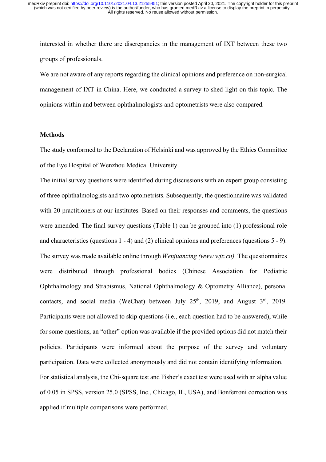interested in whether there are discrepancies in the management of IXT between these two groups of professionals.

We are not aware of any reports regarding the clinical opinions and preference on non-surgical management of IXT in China. Here, we conducted a survey to shed light on this topic. The opinions within and between ophthalmologists and optometrists were also compared.

# **Methods**

The study conformed to the Declaration of Helsinki and was approved by the Ethics Committee of the Eye Hospital of Wenzhou Medical University.

The initial survey questions were identified during discussions with an expert group consisting of three ophthalmologists and two optometrists. Subsequently, the questionnaire was validated with 20 practitioners at our institutes. Based on their responses and comments, the questions were amended. The final survey questions (Table 1) can be grouped into (1) professional role and characteristics (questions 1 - 4) and (2) clinical opinions and preferences (questions 5 - 9). The survey was made available online through *Wenjuanxing (www.wjx.cn).* The questionnaires were distributed through professional bodies (Chinese Association for Pediatric Ophthalmology and Strabismus, National Ophthalmology & Optometry Alliance), personal contacts, and social media (WeChat) between July  $25<sup>th</sup>$ , 2019, and August  $3<sup>rd</sup>$ , 2019. Participants were not allowed to skip questions (i.e., each question had to be answered), while for some questions, an "other" option was available if the provided options did not match their policies. Participants were informed about the purpose of the survey and voluntary participation. Data were collected anonymously and did not contain identifying information. For statistical analysis, the Chi-square test and Fisher's exact test were used with an alpha value of 0.05 in SPSS, version 25.0 (SPSS, Inc., Chicago, IL, USA), and Bonferroni correction was applied if multiple comparisons were performed.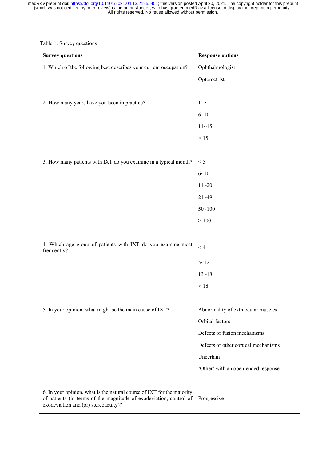#### Table 1. Survey questions

| <b>Survey questions</b>                                                                                                                      | <b>Response options</b>              |
|----------------------------------------------------------------------------------------------------------------------------------------------|--------------------------------------|
| 1. Which of the following best describes your current occupation?                                                                            | Ophthalmologist                      |
|                                                                                                                                              | Optometrist                          |
|                                                                                                                                              |                                      |
| 2. How many years have you been in practice?                                                                                                 | $1 - 5$                              |
|                                                                                                                                              | $6 - 10$                             |
|                                                                                                                                              | $11 - 15$                            |
|                                                                                                                                              | $>15$                                |
|                                                                                                                                              |                                      |
| 3. How many patients with IXT do you examine in a typical month?                                                                             | < 5                                  |
|                                                                                                                                              | $6 - 10$                             |
|                                                                                                                                              | $11 - 20$                            |
|                                                                                                                                              | $21 - 49$                            |
|                                                                                                                                              | $50 - 100$                           |
|                                                                                                                                              | $>100$                               |
|                                                                                                                                              |                                      |
| 4. Which age group of patients with IXT do you examine most<br>frequently?                                                                   | < 4                                  |
|                                                                                                                                              | $5 - 12$                             |
|                                                                                                                                              | $13 - 18$                            |
|                                                                                                                                              | $>18$                                |
|                                                                                                                                              |                                      |
| 5. In your opinion, what might be the main cause of IXT?                                                                                     | Abnormality of extraocular muscles   |
|                                                                                                                                              | Orbital factors                      |
|                                                                                                                                              | Defects of fusion mechanisms         |
|                                                                                                                                              | Defects of other cortical mechanisms |
|                                                                                                                                              | Uncertain                            |
|                                                                                                                                              | 'Other' with an open-ended response  |
|                                                                                                                                              |                                      |
| 6. In your opinion, what is the natural course of IXT for the majority<br>of patients (in terms of the magnitude of exodeviation, control of | Progressive                          |

exodeviation and (or) stereoacuity)?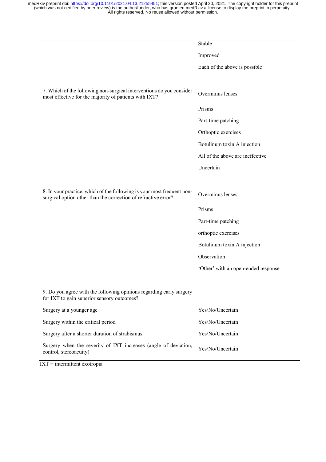|                                                                                                                                          | Stable                              |
|------------------------------------------------------------------------------------------------------------------------------------------|-------------------------------------|
|                                                                                                                                          | Improved                            |
|                                                                                                                                          | Each of the above is possible       |
|                                                                                                                                          |                                     |
| 7. Which of the following non-surgical interventions do you consider<br>most effective for the majority of patients with IXT?            | Overminus lenses                    |
|                                                                                                                                          | Prisms                              |
|                                                                                                                                          | Part-time patching                  |
|                                                                                                                                          | Orthoptic exercises                 |
|                                                                                                                                          | Botulinum toxin A injection         |
|                                                                                                                                          | All of the above are ineffective    |
|                                                                                                                                          | Uncertain                           |
|                                                                                                                                          |                                     |
| 8. In your practice, which of the following is your most frequent non-<br>surgical option other than the correction of refractive error? | Overminus lenses                    |
|                                                                                                                                          | Prisms                              |
|                                                                                                                                          | Part-time patching                  |
|                                                                                                                                          | orthoptic exercises                 |
|                                                                                                                                          | Botulinum toxin A injection         |
|                                                                                                                                          | Observation                         |
|                                                                                                                                          | 'Other' with an open-ended response |
|                                                                                                                                          |                                     |
| 9. Do you agree with the following opinions regarding early surgery<br>for IXT to gain superior sensory outcomes?                        |                                     |
| Surgery at a younger age                                                                                                                 | Yes/No/Uncertain                    |
| Surgery within the critical period                                                                                                       | Yes/No/Uncertain                    |
| Surgery after a shorter duration of strabismus                                                                                           | Yes/No/Uncertain                    |
| Surgery when the severity of IXT increases (angle of deviation,<br>control, stereoacuity)                                                | Yes/No/Uncertain                    |

IXT = intermittent exotropia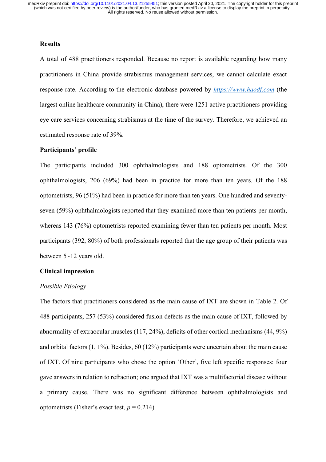## **Results**

A total of 488 practitioners responded. Because no report is available regarding how many practitioners in China provide strabismus management services, we cannot calculate exact response rate. According to the electronic database powered by *https://www.haodf.com* (the largest online healthcare community in China), there were 1251 active practitioners providing eye care services concerning strabismus at the time of the survey. Therefore, we achieved an estimated response rate of 39%.

# **Participants' profile**

The participants included 300 ophthalmologists and 188 optometrists. Of the 300 ophthalmologists, 206 (69%) had been in practice for more than ten years. Of the 188 optometrists, 96 (51%) had been in practice for more than ten years. One hundred and seventyseven (59%) ophthalmologists reported that they examined more than ten patients per month, whereas 143 (76%) optometrists reported examining fewer than ten patients per month. Most participants (392, 80%) of both professionals reported that the age group of their patients was between 5~12 years old.

#### **Clinical impression**

#### *Possible Etiology*

The factors that practitioners considered as the main cause of IXT are shown in Table 2. Of 488 participants, 257 (53%) considered fusion defects as the main cause of IXT, followed by abnormality of extraocular muscles (117, 24%), deficits of other cortical mechanisms (44, 9%) and orbital factors (1, 1%). Besides, 60 (12%) participants were uncertain about the main cause of IXT. Of nine participants who chose the option 'Other', five left specific responses: four gave answers in relation to refraction; one argued that IXT was a multifactorial disease without a primary cause. There was no significant difference between ophthalmologists and optometrists (Fisher's exact test,  $p = 0.214$ ).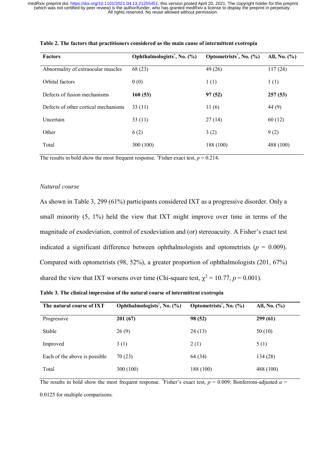| <b>Factors</b>                       | Ophthalmologists <sup>*</sup> , No. (%) | Optometrists <sup>*</sup> , No. (%) | All, No. $(\% )$ |
|--------------------------------------|-----------------------------------------|-------------------------------------|------------------|
| Abnormality of extraocular muscles   | 68 (23)                                 | 49 (26)                             | 117(24)          |
| Orbital factors                      | 0(0)                                    | 1(1)                                | 1(1)             |
| Defects of fusion mechanisms         | 160(53)                                 | 97(52)                              | 257(53)          |
| Defects of other cortical mechanisms | 33(11)                                  | 11(6)                               | 44 (9)           |
| Uncertain                            | 33(11)                                  | 27(14)                              | 60(12)           |
| Other                                | 6(2)                                    | 3(2)                                | 9(2)             |
| Total                                | 300 (100)                               | 188 (100)                           | 488 (100)        |
|                                      |                                         |                                     |                  |

**Table 2. The factors that practitioners considered as the main cause of intermittent exotropia**

The results in bold show the most frequent response. \*Fisher exact test,  $p = 0.214$ .

# *Natural course*

As shown in Table 3, 299 (61%) participants considered IXT as a progressive disorder. Only a small minority (5, 1%) held the view that IXT might improve over time in terms of the magnitude of exodeviation, control of exodeviation and (or) stereoacuity. A Fisher's exact test indicated a significant difference between ophthalmologists and optometrists ( $p = 0.009$ ). Compared with optometrists (98, 52%), a greater proportion of ophthalmologists (201, 67%) shared the view that IXT worsens over time (Chi-square test,  $\chi^2 = 10.77$ ,  $p = 0.001$ ).

| The natural course of IXT     | Ophthalmologists <sup>*</sup> , No. (%) | Optometrists <sup>*</sup> , No. (%) | All, No. $(\% )$ |
|-------------------------------|-----------------------------------------|-------------------------------------|------------------|
| Progressive                   | 201(67)                                 | 98 (52)                             | 299(61)          |
| Stable                        | 26(9)                                   | 24(13)                              | 50(10)           |
| Improved                      | 3(1)                                    | 2(1)                                | 5(1)             |
| Each of the above is possible | 70(23)                                  | 64 (34)                             | 134 (28)         |
| Total                         | 300 (100)                               | 188 (100)                           | 488 (100)        |

The results in bold show the most frequent response. \*Fisher's exact test,  $p = 0.009$ ; Bonferroni-adjusted  $a =$ 

0.0125 for multiple comparisons.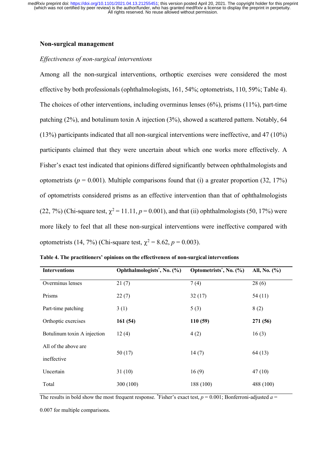## **Non-surgical management**

# *Effectiveness of non-surgical interventions*

Among all the non-surgical interventions, orthoptic exercises were considered the most effective by both professionals (ophthalmologists, 161, 54%; optometrists, 110, 59%; Table 4). The choices of other interventions, including overminus lenses (6%), prisms (11%), part-time patching (2%), and botulinum toxin A injection (3%), showed a scattered pattern. Notably, 64 (13%) participants indicated that all non-surgical interventions were ineffective, and 47 (10%) participants claimed that they were uncertain about which one works more effectively. A Fisher's exact test indicated that opinions differed significantly between ophthalmologists and optometrists ( $p = 0.001$ ). Multiple comparisons found that (i) a greater proportion (32, 17%) of optometrists considered prisms as an effective intervention than that of ophthalmologists (22, 7%) (Chi-square test,  $\chi^2 = 11.11$ ,  $p = 0.001$ ), and that (ii) ophthalmologists (50, 17%) were more likely to feel that all these non-surgical interventions were ineffective compared with optometrists (14, 7%) (Chi-square test,  $\chi^2 = 8.62$ ,  $p = 0.003$ ).

| <b>Interventions</b>        | Ophthalmologists <sup>*</sup> , No. (%) | Optometrists <sup>*</sup> , No. (%) | All, No. (%) |  |
|-----------------------------|-----------------------------------------|-------------------------------------|--------------|--|
| Overminus lenses            | 21(7)                                   | 7(4)                                | 28(6)        |  |
| Prisms                      | 22(7)                                   | 32(17)                              | 54(11)       |  |
| Part-time patching          | 3(1)                                    | 5(3)                                | 8(2)         |  |
| Orthoptic exercises         | 161(54)                                 | 110(59)                             | 271 (56)     |  |
| Botulinum toxin A injection | 12(4)                                   | 4(2)                                | 16(3)        |  |
| All of the above are        |                                         |                                     |              |  |
| ineffective                 | 50(17)                                  | 14(7)                               | 64(13)       |  |
| Uncertain                   | 31(10)                                  | 16(9)                               | 47(10)       |  |
| Total                       | 300 (100)                               | 188 (100)                           | 488 (100)    |  |

**Table 4. The practitioners' opinions on the effectiveness of non-surgical interventions**

The results in bold show the most frequent response. \*Fisher's exact test,  $p = 0.001$ ; Bonferroni-adjusted  $a =$ 

0.007 for multiple comparisons.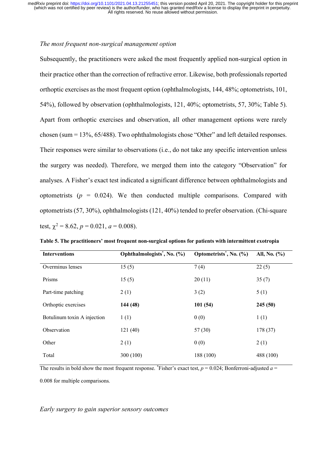## *The most frequent non-surgical management option*

Subsequently, the practitioners were asked the most frequently applied non-surgical option in their practice other than the correction of refractive error. Likewise, both professionals reported orthoptic exercises as the most frequent option (ophthalmologists, 144, 48%; optometrists, 101, 54%), followed by observation (ophthalmologists, 121, 40%; optometrists, 57, 30%; Table 5). Apart from orthoptic exercises and observation, all other management options were rarely chosen (sum = 13%, 65/488). Two ophthalmologists chose "Other" and left detailed responses. Their responses were similar to observations (i.e., do not take any specific intervention unless the surgery was needed). Therefore, we merged them into the category "Observation" for analyses. A Fisher's exact test indicated a significant difference between ophthalmologists and optometrists  $(p = 0.024)$ . We then conducted multiple comparisons. Compared with optometrists (57, 30%), ophthalmologists (121, 40%) tended to prefer observation. (Chi-square test,  $\gamma^2 = 8.62$ ,  $p = 0.021$ ,  $a = 0.008$ ).

| Table 5. The practitioners' most frequent non-surgical options for patients with intermittent exotropia |
|---------------------------------------------------------------------------------------------------------|
|---------------------------------------------------------------------------------------------------------|

| <b>Interventions</b>        | Ophthalmologists <sup>*</sup> , No. (%) | Optometrists <sup>*</sup> , No. (%) | All, No. $(\% )$ |
|-----------------------------|-----------------------------------------|-------------------------------------|------------------|
| Overminus lenses            | 15(5)                                   | 7(4)                                | 22(5)            |
| Prisms                      | 15(5)                                   | 20(11)                              | 35(7)            |
| Part-time patching          | 2(1)                                    | 3(2)                                | 5(1)             |
| Orthoptic exercises         | 144 (48)                                | 101(54)                             | 245(50)          |
| Botulinum toxin A injection | 1(1)                                    | 0(0)                                | 1(1)             |
| Observation                 | 121(40)                                 | 57(30)                              | 178 (37)         |
| Other                       | 2(1)                                    | 0(0)                                | 2(1)             |
| Total                       | 300 (100)                               | 188 (100)                           | 488 (100)        |

The results in bold show the most frequent response. \*Fisher's exact test,  $p = 0.024$ ; Bonferroni-adjusted  $a =$ 

0.008 for multiple comparisons.

*Early surgery to gain superior sensory outcomes*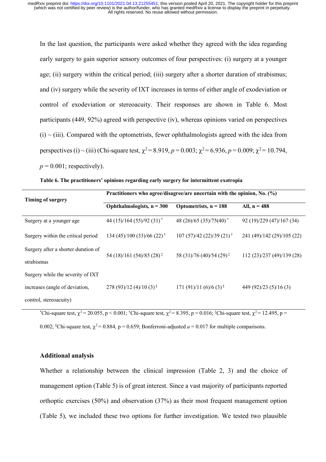In the last question, the participants were asked whether they agreed with the idea regarding early surgery to gain superior sensory outcomes of four perspectives: (i) surgery at a younger age; (ii) surgery within the critical period; (iii) surgery after a shorter duration of strabismus; and (iv) surgery while the severity of IXT increases in terms of either angle of exodeviation or control of exodeviation or stereoacuity. Their responses are shown in Table 6. Most participants (449, 92%) agreed with perspective (iv), whereas opinions varied on perspectives  $(i)$  ~ (iii). Compared with the optometrists, fewer ophthalmologists agreed with the idea from perspectives (i) ~ (iii) (Chi-square test,  $\chi^2 = 8.919$ ,  $p = 0.003$ ;  $\chi^2 = 6.936$ ,  $p = 0.009$ ;  $\chi^2 = 10.794$ ,  $p = 0.001$ ; respectively).

| <b>Timing of surgery</b>                          | Practitioners who agree/disagree/are uncertain with the opinion, No. $(\%)$ |                                      |                            |  |
|---------------------------------------------------|-----------------------------------------------------------------------------|--------------------------------------|----------------------------|--|
|                                                   | Ophthalmologists, $n = 300$                                                 | Optometrists, $n = 188$              | All, $n = 488$             |  |
| Surgery at a younger age                          | 44 (15)/164 (55)/92 (31) <sup>*</sup>                                       | 48 (26)/65 (35)/75(40) <sup>*</sup>  | 92 (19)/229 (47)/167 (34)  |  |
| Surgery within the critical period                | 134 (45)/100 (33)/66 (22) <sup>†</sup>                                      | $107(57)/42(22)/39(21)^{\dagger}$    | 241 (49)/142 (29)/105 (22) |  |
| Surgery after a shorter duration of<br>strabismus | 54 (18)/161 (54)/85 (28) <sup>‡</sup>                                       | 58 (31)/76 (40)/54 (29) <sup>‡</sup> | 112 (23)/237 (49)/139 (28) |  |
| Surgery while the severity of IXT                 |                                                                             |                                      |                            |  |
| increases (angle of deviation,                    | 278 (93)/12 (4)/10 (3) $\frac{8}{3}$                                        | 171 (91)/11 (6)/6 (3) <sup>§</sup>   | 449 (92)/23 (5)/16 (3)     |  |
| control, stereoacuity)                            |                                                                             |                                      |                            |  |

| Table 6. The practitioners' opinions regarding early surgery for intermittent exotropia |  |  |  |
|-----------------------------------------------------------------------------------------|--|--|--|
|                                                                                         |  |  |  |

 $^*$ Chi-square test,  $\chi^2$  = 20.055, p < 0.001; <sup>†</sup>Chi-square test,  $\chi^2$  = 8.395, p = 0.016; <sup>‡</sup>Chi-square test,  $\chi^2$  = 12.495, p =

0.002; <sup>§</sup>Chi-square test,  $\chi^2$  = 0.884, p = 0.659; Bonferroni-adjusted  $a$  = 0.017 for multiple comparisons.

#### **Additional analysis**

Whether a relationship between the clinical impression (Table 2, 3) and the choice of management option (Table 5) is of great interest. Since a vast majority of participants reported orthoptic exercises (50%) and observation (37%) as their most frequent management option (Table 5), we included these two options for further investigation. We tested two plausible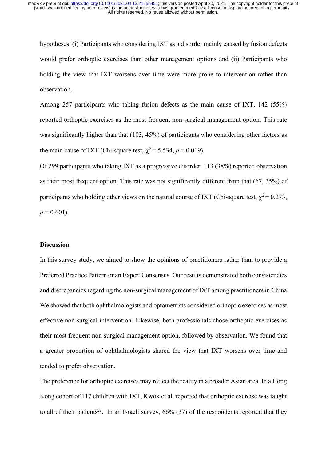hypotheses: (i) Participants who considering IXT as a disorder mainly caused by fusion defects would prefer orthoptic exercises than other management options and (ii) Participants who holding the view that IXT worsens over time were more prone to intervention rather than observation.

Among 257 participants who taking fusion defects as the main cause of IXT, 142 (55%) reported orthoptic exercises as the most frequent non-surgical management option. This rate was significantly higher than that (103, 45%) of participants who considering other factors as the main cause of IXT (Chi-square test,  $\chi^2$  = 5.534, *p* = 0.019).

Of 299 participants who taking IXT as a progressive disorder, 113 (38%) reported observation as their most frequent option. This rate was not significantly different from that (67, 35%) of participants who holding other views on the natural course of IXT (Chi-square test,  $\chi^2$  = 0.273,  $p = 0.601$ .

# **Discussion**

In this survey study, we aimed to show the opinions of practitioners rather than to provide a Preferred Practice Pattern or an Expert Consensus. Our results demonstrated both consistencies and discrepancies regarding the non-surgical management of IXT among practitioners in China. We showed that both ophthalmologists and optometrists considered orthoptic exercises as most effective non-surgical intervention. Likewise, both professionals chose orthoptic exercises as their most frequent non-surgical management option, followed by observation. We found that a greater proportion of ophthalmologists shared the view that IXT worsens over time and tended to prefer observation.

The preference for orthoptic exercises may reflect the reality in a broader Asian area. In a Hong Kong cohort of 117 children with IXT, Kwok et al. reported that orthoptic exercise was taught to all of their patients<sup>23</sup>. In an Israeli survey,  $66\%$  (37) of the respondents reported that they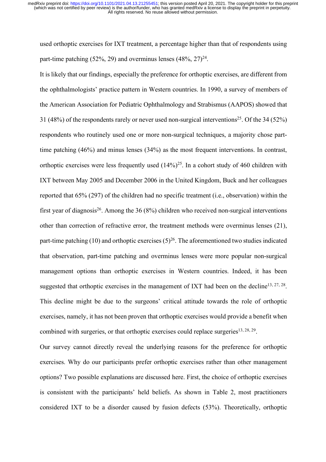used orthoptic exercises for IXT treatment, a percentage higher than that of respondents using part-time patching (52%, 29) and overminus lenses  $(48\%, 27)^{24}$ .

It is likely that our findings, especially the preference for orthoptic exercises, are different from the ophthalmologists' practice pattern in Western countries. In 1990, a survey of members of the American Association for Pediatric Ophthalmology and Strabismus (AAPOS) showed that 31 (48%) of the respondents rarely or never used non-surgical interventions<sup>25</sup>. Of the 34 (52%) respondents who routinely used one or more non-surgical techniques, a majority chose parttime patching (46%) and minus lenses (34%) as the most frequent interventions. In contrast, orthoptic exercises were less frequently used  $(14\%)^{25}$ . In a cohort study of 460 children with IXT between May 2005 and December 2006 in the United Kingdom, Buck and her colleagues reported that 65% (297) of the children had no specific treatment (i.e., observation) within the first year of diagnosis<sup>26</sup>. Among the 36 (8%) children who received non-surgical interventions other than correction of refractive error, the treatment methods were overminus lenses (21), part-time patching (10) and orthoptic exercises  $(5)^{26}$ . The aforementioned two studies indicated that observation, part-time patching and overminus lenses were more popular non-surgical management options than orthoptic exercises in Western countries. Indeed, it has been suggested that orthoptic exercises in the management of IXT had been on the decline<sup>13, 27, 28</sup>. This decline might be due to the surgeons' critical attitude towards the role of orthoptic exercises, namely, it has not been proven that orthoptic exercises would provide a benefit when combined with surgeries, or that orthoptic exercises could replace surgeries<sup>13, 28, 29</sup>.

Our survey cannot directly reveal the underlying reasons for the preference for orthoptic exercises. Why do our participants prefer orthoptic exercises rather than other management options? Two possible explanations are discussed here. First, the choice of orthoptic exercises is consistent with the participants' held beliefs. As shown in Table 2, most practitioners considered IXT to be a disorder caused by fusion defects (53%). Theoretically, orthoptic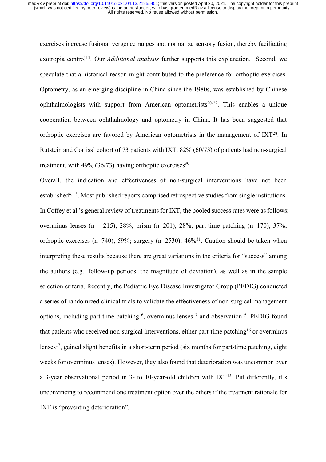exercises increase fusional vergence ranges and normalize sensory fusion, thereby facilitating exotropia control<sup>13</sup>. Our *Additional analysis* further supports this explanation. Second, we speculate that a historical reason might contributed to the preference for orthoptic exercises. Optometry, as an emerging discipline in China since the 1980s, was established by Chinese ophthalmologists with support from American optometrists<sup>20-22</sup>. This enables a unique cooperation between ophthalmology and optometry in China. It has been suggested that orthoptic exercises are favored by American optometrists in the management of IXT28. In Rutstein and Corliss' cohort of 73 patients with IXT, 82% (60/73) of patients had non-surgical treatment, with  $49\%$  (36/73) having orthoptic exercises<sup>30</sup>.

Overall, the indication and effectiveness of non-surgical interventions have not been established $8, 13$ . Most published reports comprised retrospective studies from single institutions. In Coffey et al.'s general review of treatments for IXT, the pooled success rates were as follows: overminus lenses (n = 215), 28%; prism (n=201), 28%; part-time patching (n=170), 37%; orthoptic exercises (n=740), 59%; surgery (n=2530),  $46\frac{631}{1}$ . Caution should be taken when interpreting these results because there are great variations in the criteria for "success" among the authors (e.g., follow-up periods, the magnitude of deviation), as well as in the sample selection criteria. Recently, the Pediatric Eye Disease Investigator Group (PEDIG) conducted a series of randomized clinical trials to validate the effectiveness of non-surgical management options, including part-time patching<sup>16</sup>, overminus lenses<sup>17</sup> and observation<sup>15</sup>. PEDIG found that patients who received non-surgical interventions, either part-time patching<sup>16</sup> or overminus lenses<sup>17</sup>, gained slight benefits in a short-term period (six months for part-time patching, eight weeks for overminus lenses). However, they also found that deterioration was uncommon over a 3-year observational period in 3- to 10-year-old children with  $IXT<sup>15</sup>$ . Put differently, it's unconvincing to recommend one treatment option over the others if the treatment rationale for IXT is "preventing deterioration".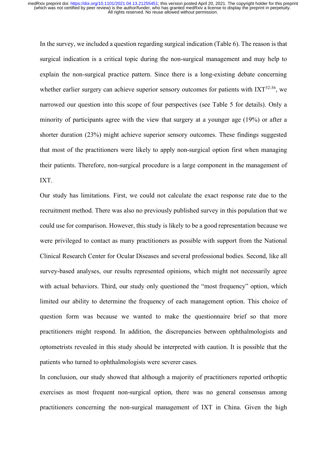In the survey, we included a question regarding surgical indication (Table 6). The reason is that surgical indication is a critical topic during the non-surgical management and may help to explain the non-surgical practice pattern. Since there is a long-existing debate concerning whether earlier surgery can achieve superior sensory outcomes for patients with  $IXT^{32-36}$ , we narrowed our question into this scope of four perspectives (see Table 5 for details). Only a minority of participants agree with the view that surgery at a younger age (19%) or after a shorter duration (23%) might achieve superior sensory outcomes. These findings suggested that most of the practitioners were likely to apply non-surgical option first when managing their patients. Therefore, non-surgical procedure is a large component in the management of IXT.

Our study has limitations. First, we could not calculate the exact response rate due to the recruitment method. There was also no previously published survey in this population that we could use for comparison. However, this study is likely to be a good representation because we were privileged to contact as many practitioners as possible with support from the National Clinical Research Center for Ocular Diseases and several professional bodies. Second, like all survey-based analyses, our results represented opinions, which might not necessarily agree with actual behaviors. Third, our study only questioned the "most frequency" option, which limited our ability to determine the frequency of each management option. This choice of question form was because we wanted to make the questionnaire brief so that more practitioners might respond. In addition, the discrepancies between ophthalmologists and optometrists revealed in this study should be interpreted with caution. It is possible that the patients who turned to ophthalmologists were severer cases.

In conclusion, our study showed that although a majority of practitioners reported orthoptic exercises as most frequent non-surgical option, there was no general consensus among practitioners concerning the non-surgical management of IXT in China. Given the high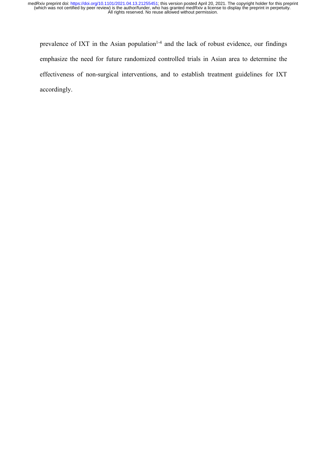prevalence of IXT in the Asian population<sup> $1-4$ </sup> and the lack of robust evidence, our findings emphasize the need for future randomized controlled trials in Asian area to determine the effectiveness of non-surgical interventions, and to establish treatment guidelines for IXT accordingly.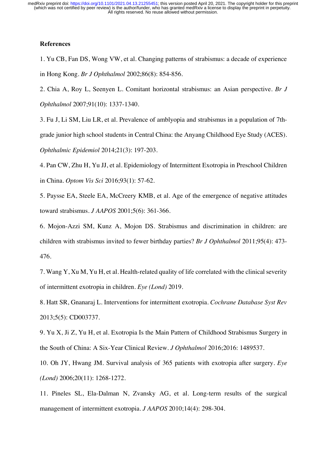# **References**

1. Yu CB, Fan DS, Wong VW, et al. Changing patterns of strabismus: a decade of experience in Hong Kong. *Br J Ophthalmol* 2002;86(8): 854-856.

2. Chia A, Roy L, Seenyen L. Comitant horizontal strabismus: an Asian perspective. *Br J Ophthalmol* 2007;91(10): 1337-1340.

3. Fu J, Li SM, Liu LR, et al. Prevalence of amblyopia and strabismus in a population of 7thgrade junior high school students in Central China: the Anyang Childhood Eye Study (ACES). *Ophthalmic Epidemiol* 2014;21(3): 197-203.

4. Pan CW, Zhu H, Yu JJ, et al. Epidemiology of Intermittent Exotropia in Preschool Children in China. *Optom Vis Sci* 2016;93(1): 57-62.

5. Paysse EA, Steele EA, McCreery KMB, et al. Age of the emergence of negative attitudes toward strabismus. *J AAPOS* 2001;5(6): 361-366.

6. Mojon-Azzi SM, Kunz A, Mojon DS. Strabismus and discrimination in children: are children with strabismus invited to fewer birthday parties? *Br J Ophthalmol* 2011;95(4): 473- 476.

7. Wang Y, Xu M, Yu H, et al. Health-related quality of life correlated with the clinical severity of intermittent exotropia in children. *Eye (Lond)* 2019.

8. Hatt SR, Gnanaraj L. Interventions for intermittent exotropia. *Cochrane Database Syst Rev* 2013;5(5): CD003737.

9. Yu X, Ji Z, Yu H, et al. Exotropia Is the Main Pattern of Childhood Strabismus Surgery in the South of China: A Six-Year Clinical Review. *J Ophthalmol* 2016;2016: 1489537.

10. Oh JY, Hwang JM. Survival analysis of 365 patients with exotropia after surgery. *Eye (Lond)* 2006;20(11): 1268-1272.

11. Pineles SL, Ela-Dalman N, Zvansky AG, et al. Long-term results of the surgical management of intermittent exotropia. *J AAPOS* 2010;14(4): 298-304.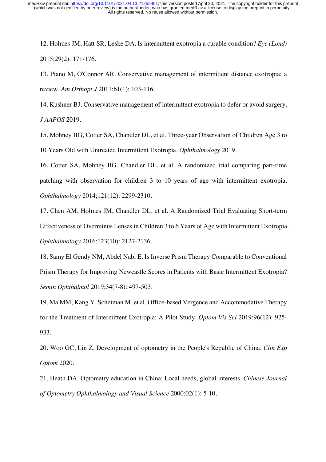12. Holmes JM, Hatt SR, Leske DA. Is intermittent exotropia a curable condition? *Eye (Lond)* 2015;29(2): 171-176.

13. Piano M, O'Connor AR. Conservative management of intermittent distance exotropia: a review. *Am Orthopt J* 2011;61(1): 103-116.

14. Kushner BJ. Conservative management of intermittent exotropia to defer or avoid surgery. *J AAPOS* 2019.

15. Mohney BG, Cotter SA, Chandler DL, et al. Three-year Observation of Children Age 3 to 10 Years Old with Untreated Intermittent Exotropia. *Ophthalmology* 2019.

16. Cotter SA, Mohney BG, Chandler DL, et al. A randomized trial comparing part-time patching with observation for children 3 to 10 years of age with intermittent exotropia. *Ophthalmology* 2014;121(12): 2299-2310.

17. Chen AM, Holmes JM, Chandler DL, et al. A Randomized Trial Evaluating Short-term Effectiveness of Overminus Lenses in Children 3 to 6 Years of Age with Intermittent Exotropia. *Ophthalmology* 2016;123(10): 2127-2136.

18. Samy El Gendy NM, Abdel Nabi E. Is Inverse Prism Therapy Comparable to Conventional Prism Therapy for Improving Newcastle Scores in Patients with Basic Intermittent Exotropia? *Semin Ophthalmol* 2019;34(7-8): 497-503.

19. Ma MM, Kang Y, Scheiman M, et al. Office-based Vergence and Accommodative Therapy for the Treatment of Intermittent Exotropia: A Pilot Study. *Optom Vis Sci* 2019;96(12): 925- 933.

20. Woo GC, Lin Z. Development of optometry in the People's Republic of China. *Clin Exp Optom* 2020.

21. Heath DA. Optometry education in China: Local needs, global interests. *Chinese Journal of Optometry Ophthalmology and Visual Science* 2000;02(1): 5-10.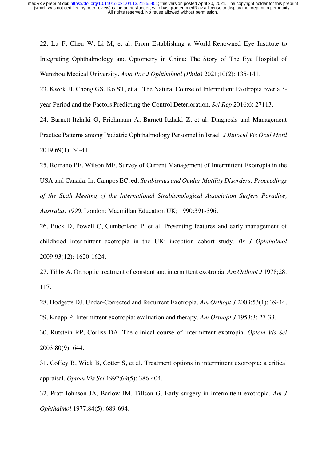22. Lu F, Chen W, Li M, et al. From Establishing a World-Renowned Eye Institute to Integrating Ophthalmology and Optometry in China: The Story of The Eye Hospital of Wenzhou Medical University. *Asia Pac J Ophthalmol (Phila)* 2021;10(2): 135-141.

23. Kwok JJ, Chong GS, Ko ST, et al. The Natural Course of Intermittent Exotropia over a 3 year Period and the Factors Predicting the Control Deterioration. *Sci Rep* 2016;6: 27113.

24. Barnett-Itzhaki G, Friehmann A, Barnett-Itzhaki Z, et al. Diagnosis and Management Practice Patterns among Pediatric Ophthalmology Personnel in Israel. *J Binocul Vis Ocul Motil* 2019;69(1): 34-41.

25. Romano PE, Wilson MF. Survey of Current Management of Intermittent Exotropia in the USA and Canada. In: Campos EC, ed. *Strabismus and Ocular Motility Disorders: Proceedings of the Sixth Meeting of the International Strabismological Association Surfers Paradise, Australia, 1990.* London: Macmillan Education UK; 1990:391-396.

26. Buck D, Powell C, Cumberland P, et al. Presenting features and early management of childhood intermittent exotropia in the UK: inception cohort study. *Br J Ophthalmol* 2009;93(12): 1620-1624.

27. Tibbs A. Orthoptic treatment of constant and intermittent exotropia. *Am Orthopt J* 1978;28: 117.

28. Hodgetts DJ. Under-Corrected and Recurrent Exotropia. *Am Orthopt J* 2003;53(1): 39-44.

29. Knapp P. Intermittent exotropia: evaluation and therapy. *Am Orthopt J* 1953;3: 27-33.

30. Rutstein RP, Corliss DA. The clinical course of intermittent exotropia. *Optom Vis Sci* 2003;80(9): 644.

31. Coffey B, Wick B, Cotter S, et al. Treatment options in intermittent exotropia: a critical appraisal. *Optom Vis Sci* 1992;69(5): 386-404.

32. Pratt-Johnson JA, Barlow JM, Tillson G. Early surgery in intermittent exotropia. *Am J Ophthalmol* 1977;84(5): 689-694.